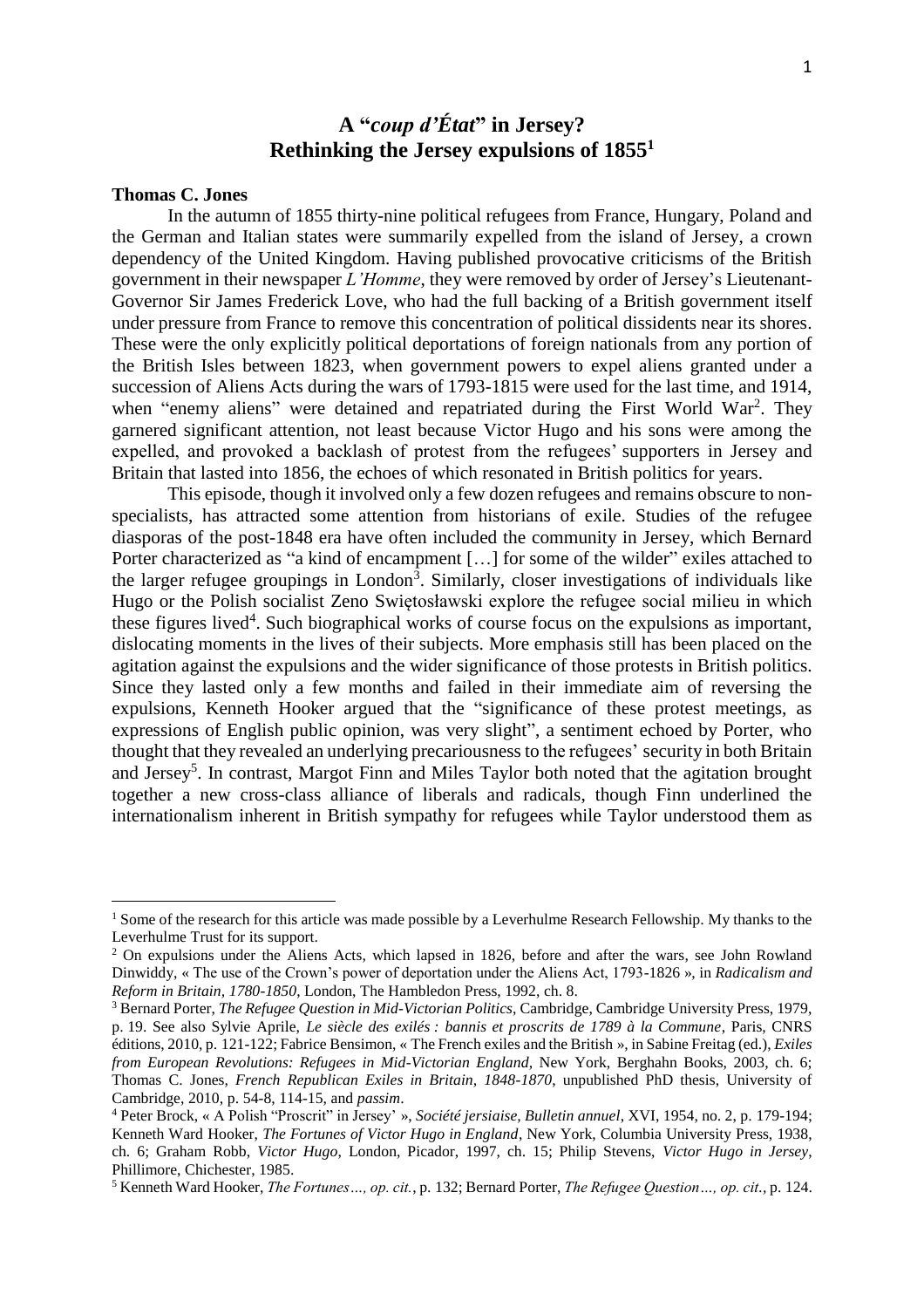# **A "***coup d'État***" in Jersey? Rethinking the Jersey expulsions of 1855<sup>1</sup>**

#### **Thomas C. Jones**

l

In the autumn of 1855 thirty-nine political refugees from France, Hungary, Poland and the German and Italian states were summarily expelled from the island of Jersey, a crown dependency of the United Kingdom. Having published provocative criticisms of the British government in their newspaper *L'Homme*, they were removed by order of Jersey's Lieutenant-Governor Sir James Frederick Love, who had the full backing of a British government itself under pressure from France to remove this concentration of political dissidents near its shores. These were the only explicitly political deportations of foreign nationals from any portion of the British Isles between 1823, when government powers to expel aliens granted under a succession of Aliens Acts during the wars of 1793-1815 were used for the last time, and 1914, when "enemy aliens" were detained and repatriated during the First World War<sup>2</sup>. They garnered significant attention, not least because Victor Hugo and his sons were among the expelled, and provoked a backlash of protest from the refugees' supporters in Jersey and Britain that lasted into 1856, the echoes of which resonated in British politics for years.

This episode, though it involved only a few dozen refugees and remains obscure to nonspecialists, has attracted some attention from historians of exile. Studies of the refugee diasporas of the post-1848 era have often included the community in Jersey, which Bernard Porter characterized as "a kind of encampment [...] for some of the wilder" exiles attached to the larger refugee groupings in London<sup>3</sup>. Similarly, closer investigations of individuals like Hugo or the Polish socialist Zeno Swiętosławski explore the refugee social milieu in which these figures lived<sup>4</sup>. Such biographical works of course focus on the expulsions as important, dislocating moments in the lives of their subjects. More emphasis still has been placed on the agitation against the expulsions and the wider significance of those protests in British politics. Since they lasted only a few months and failed in their immediate aim of reversing the expulsions, Kenneth Hooker argued that the "significance of these protest meetings, as expressions of English public opinion, was very slight", a sentiment echoed by Porter, who thought that they revealed an underlying precariousness to the refugees' security in both Britain and Jersey<sup>5</sup>. In contrast, Margot Finn and Miles Taylor both noted that the agitation brought together a new cross-class alliance of liberals and radicals, though Finn underlined the internationalism inherent in British sympathy for refugees while Taylor understood them as

<sup>&</sup>lt;sup>1</sup> Some of the research for this article was made possible by a Leverhulme Research Fellowship. My thanks to the Leverhulme Trust for its support.

<sup>&</sup>lt;sup>2</sup> On expulsions under the Aliens Acts, which lapsed in 1826, before and after the wars, see John Rowland Dinwiddy, « The use of the Crown's power of deportation under the Aliens Act, 1793-1826 », in *Radicalism and Reform in Britain, 1780-1850*, London, The Hambledon Press, 1992, ch. 8.

<sup>3</sup> Bernard Porter, *The Refugee Question in Mid-Victorian Politics*, Cambridge, Cambridge University Press, 1979, p. 19. See also Sylvie Aprile, *Le siècle des exilés : bannis et proscrits de 1789 à la Commune*, Paris, CNRS éditions, 2010, p. 121-122; Fabrice Bensimon, « The French exiles and the British », in Sabine Freitag (ed.), *Exiles from European Revolutions: Refugees in Mid-Victorian England*, New York, Berghahn Books, 2003, ch. 6; Thomas C. Jones, *French Republican Exiles in Britain, 1848-1870*, unpublished PhD thesis, University of Cambridge, 2010, p. 54-8, 114-15, and *passim*.

<sup>4</sup> Peter Brock, « A Polish "Proscrit" in Jersey' », *Société jersiaise, Bulletin annuel*, XVI, 1954, no. 2, p. 179-194; Kenneth Ward Hooker, *The Fortunes of Victor Hugo in England*, New York, Columbia University Press, 1938, ch. 6; Graham Robb, *Victor Hugo*, London, Picador, 1997, ch. 15; Philip Stevens, *Victor Hugo in Jersey*, Phillimore, Chichester, 1985.

<sup>5</sup> Kenneth Ward Hooker, *The Fortunes…, op. cit.*, p. 132; Bernard Porter, *The Refugee Question…, op. cit.,* p. 124.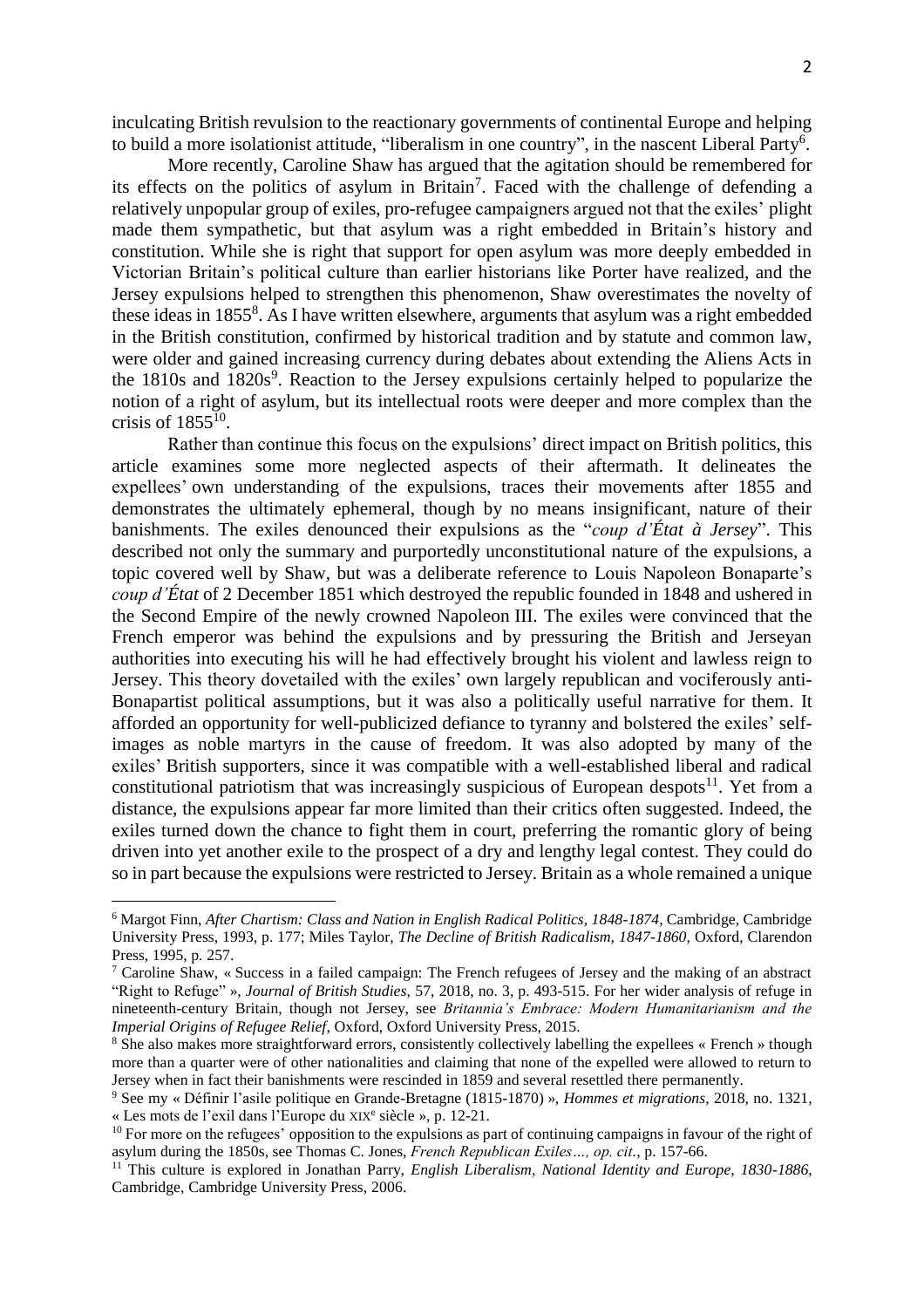inculcating British revulsion to the reactionary governments of continental Europe and helping to build a more isolationist attitude, "liberalism in one country", in the nascent Liberal Party<sup>6</sup>.

More recently, Caroline Shaw has argued that the agitation should be remembered for its effects on the politics of asylum in Britain<sup>7</sup>. Faced with the challenge of defending a relatively unpopular group of exiles, pro-refugee campaigners argued not that the exiles' plight made them sympathetic, but that asylum was a right embedded in Britain's history and constitution. While she is right that support for open asylum was more deeply embedded in Victorian Britain's political culture than earlier historians like Porter have realized, and the Jersey expulsions helped to strengthen this phenomenon, Shaw overestimates the novelty of these ideas in 1855<sup>8</sup>. As I have written elsewhere, arguments that asylum was a right embedded in the British constitution, confirmed by historical tradition and by statute and common law, were older and gained increasing currency during debates about extending the Aliens Acts in the  $1810s$  and  $1820s<sup>9</sup>$ . Reaction to the Jersey expulsions certainly helped to popularize the notion of a right of asylum, but its intellectual roots were deeper and more complex than the crisis of  $1855^{10}$ .

Rather than continue this focus on the expulsions' direct impact on British politics, this article examines some more neglected aspects of their aftermath. It delineates the expellees' own understanding of the expulsions, traces their movements after 1855 and demonstrates the ultimately ephemeral, though by no means insignificant, nature of their banishments. The exiles denounced their expulsions as the "*coup d'État à Jersey*". This described not only the summary and purportedly unconstitutional nature of the expulsions, a topic covered well by Shaw, but was a deliberate reference to Louis Napoleon Bonaparte's *coup d'État* of 2 December 1851 which destroyed the republic founded in 1848 and ushered in the Second Empire of the newly crowned Napoleon III. The exiles were convinced that the French emperor was behind the expulsions and by pressuring the British and Jerseyan authorities into executing his will he had effectively brought his violent and lawless reign to Jersey. This theory dovetailed with the exiles' own largely republican and vociferously anti-Bonapartist political assumptions, but it was also a politically useful narrative for them. It afforded an opportunity for well-publicized defiance to tyranny and bolstered the exiles' selfimages as noble martyrs in the cause of freedom. It was also adopted by many of the exiles' British supporters, since it was compatible with a well-established liberal and radical constitutional patriotism that was increasingly suspicious of European despots $^{11}$ . Yet from a distance, the expulsions appear far more limited than their critics often suggested. Indeed, the exiles turned down the chance to fight them in court, preferring the romantic glory of being driven into yet another exile to the prospect of a dry and lengthy legal contest. They could do so in part because the expulsions were restricted to Jersey. Britain as a whole remained a unique

<sup>6</sup> Margot Finn, *After Chartism: Class and Nation in English Radical Politics, 1848-1874*, Cambridge, Cambridge University Press, 1993, p. 177; Miles Taylor, *The Decline of British Radicalism, 1847-1860*, Oxford, Clarendon Press, 1995, p. 257.

<sup>7</sup> Caroline Shaw, « Success in a failed campaign: The French refugees of Jersey and the making of an abstract "Right to Refuge" », *Journal of British Studies*, 57, 2018, no. 3, p. 493-515. For her wider analysis of refuge in nineteenth-century Britain, though not Jersey, see *Britannia's Embrace: Modern Humanitarianism and the Imperial Origins of Refugee Relief*, Oxford, Oxford University Press, 2015.

<sup>&</sup>lt;sup>8</sup> She also makes more straightforward errors, consistently collectively labelling the expellees « French » though more than a quarter were of other nationalities and claiming that none of the expelled were allowed to return to Jersey when in fact their banishments were rescinded in 1859 and several resettled there permanently.

<sup>9</sup> See my « Définir l'asile politique en Grande-Bretagne (1815-1870) », *Hommes et migrations*, 2018, no. 1321, « Les mots de l'exil dans l'Europe du XIX<sup>e</sup> siècle », p. 12-21.

 $10$  For more on the refugees' opposition to the expulsions as part of continuing campaigns in favour of the right of asylum during the 1850s, see Thomas C. Jones, *French Republican Exiles…, op. cit.*, p. 157-66.

<sup>&</sup>lt;sup>11</sup> This culture is explored in Jonathan Parry, *English Liberalism*, *National Identity and Europe*, 1830-1886, Cambridge, Cambridge University Press, 2006.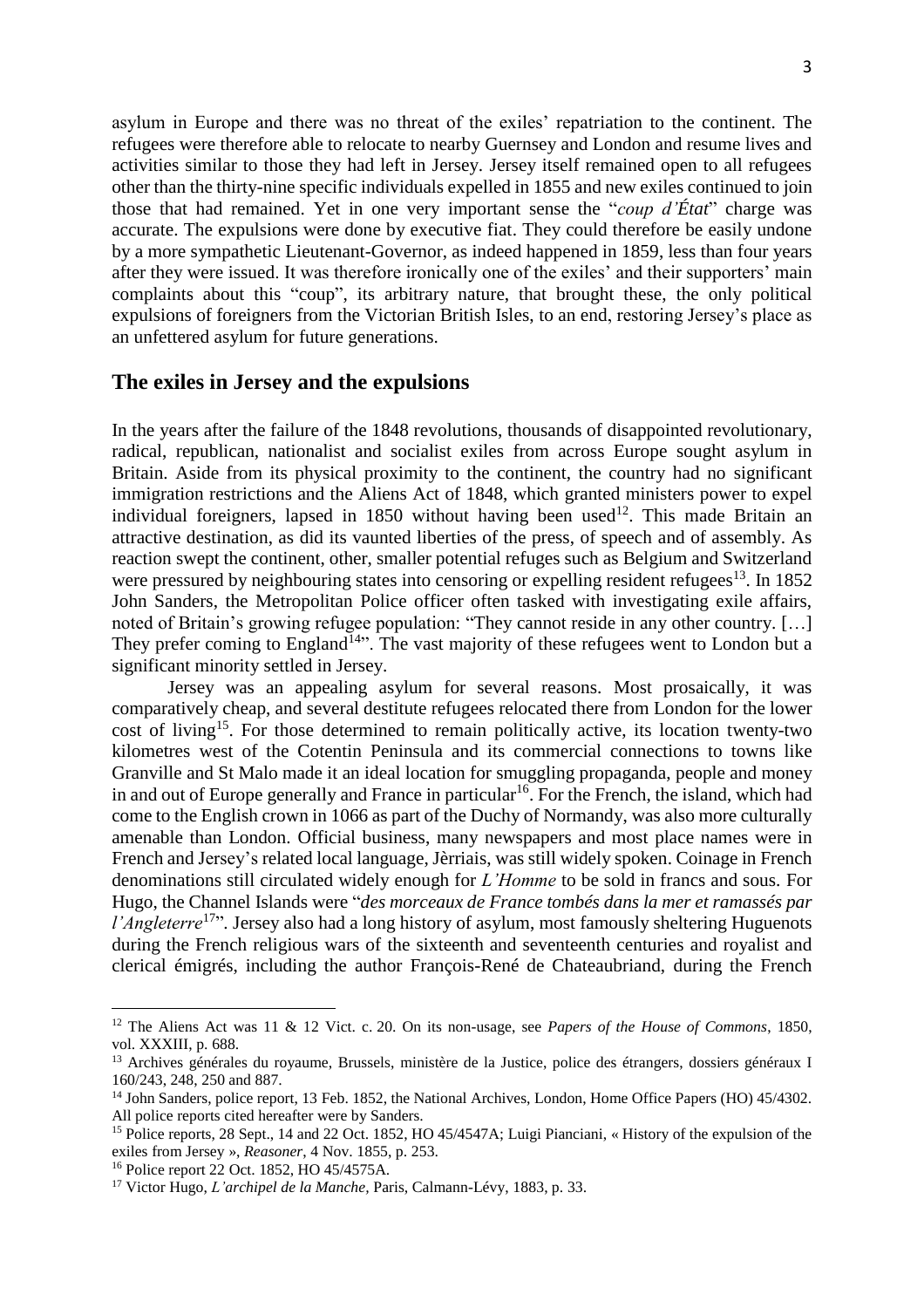asylum in Europe and there was no threat of the exiles' repatriation to the continent. The refugees were therefore able to relocate to nearby Guernsey and London and resume lives and activities similar to those they had left in Jersey. Jersey itself remained open to all refugees other than the thirty-nine specific individuals expelled in 1855 and new exiles continued to join those that had remained. Yet in one very important sense the "*coup d'État*" charge was accurate. The expulsions were done by executive fiat. They could therefore be easily undone by a more sympathetic Lieutenant-Governor, as indeed happened in 1859, less than four years after they were issued. It was therefore ironically one of the exiles' and their supporters' main complaints about this "coup", its arbitrary nature, that brought these, the only political expulsions of foreigners from the Victorian British Isles, to an end, restoring Jersey's place as an unfettered asylum for future generations.

### **The exiles in Jersey and the expulsions**

In the years after the failure of the 1848 revolutions, thousands of disappointed revolutionary, radical, republican, nationalist and socialist exiles from across Europe sought asylum in Britain. Aside from its physical proximity to the continent, the country had no significant immigration restrictions and the Aliens Act of 1848, which granted ministers power to expel individual foreigners, lapsed in  $1850$  without having been used<sup>12</sup>. This made Britain an attractive destination, as did its vaunted liberties of the press, of speech and of assembly. As reaction swept the continent, other, smaller potential refuges such as Belgium and Switzerland were pressured by neighbouring states into censoring or expelling resident refugees<sup>13</sup>. In 1852 John Sanders, the Metropolitan Police officer often tasked with investigating exile affairs, noted of Britain's growing refugee population: "They cannot reside in any other country. […] They prefer coming to England<sup>14</sup>". The vast majority of these refugees went to London but a significant minority settled in Jersey.

Jersey was an appealing asylum for several reasons. Most prosaically, it was comparatively cheap, and several destitute refugees relocated there from London for the lower cost of living<sup>15</sup>. For those determined to remain politically active, its location twenty-two kilometres west of the Cotentin Peninsula and its commercial connections to towns like Granville and St Malo made it an ideal location for smuggling propaganda, people and money in and out of Europe generally and France in particular<sup>16</sup>. For the French, the island, which had come to the English crown in 1066 as part of the Duchy of Normandy, was also more culturally amenable than London. Official business, many newspapers and most place names were in French and Jersey's related local language, Jèrriais, was still widely spoken. Coinage in French denominations still circulated widely enough for *L'Homme* to be sold in francs and sous. For Hugo, the Channel Islands were "*des morceaux de France tombés dans la mer et ramassés par l'Angleterre*<sup>17</sup>". Jersey also had a long history of asylum, most famously sheltering Huguenots during the French religious wars of the sixteenth and seventeenth centuries and royalist and clerical émigrés, including the author François-René de Chateaubriand, during the French

<sup>12</sup> The Aliens Act was 11 & 12 Vict. c. 20. On its non-usage, see *Papers of the House of Commons*, 1850, vol. XXXIII, p. 688.

<sup>&</sup>lt;sup>13</sup> Archives générales du royaume, Brussels, ministère de la Justice, police des étrangers, dossiers généraux I 160/243, 248, 250 and 887.

<sup>&</sup>lt;sup>14</sup> John Sanders, police report, 13 Feb. 1852, the National Archives, London, Home Office Papers (HO) 45/4302. All police reports cited hereafter were by Sanders.

<sup>&</sup>lt;sup>15</sup> Police reports, 28 Sept., 14 and 22 Oct. 1852, HO 45/4547A; Luigi Pianciani, « History of the expulsion of the exiles from Jersey », *Reasoner*, 4 Nov. 1855, p. 253.

<sup>16</sup> Police report 22 Oct. 1852, HO 45/4575A.

<sup>17</sup> Victor Hugo, *L'archipel de la Manche,* Paris, Calmann-Lévy, 1883, p. 33.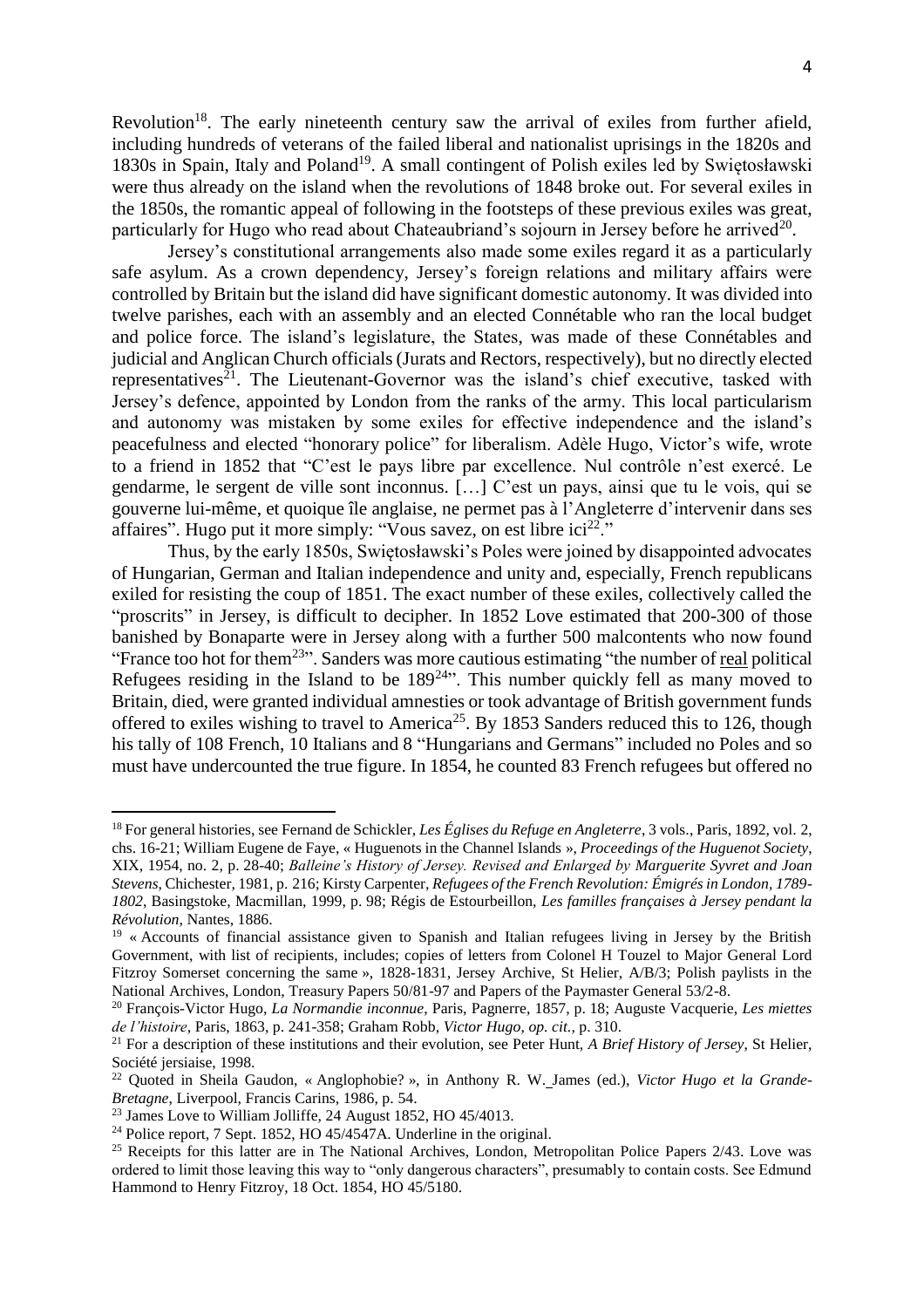Revolution<sup>18</sup>. The early nineteenth century saw the arrival of exiles from further afield, including hundreds of veterans of the failed liberal and nationalist uprisings in the 1820s and 1830s in Spain, Italy and Poland<sup>19</sup>. A small contingent of Polish exiles led by Swiętosławski were thus already on the island when the revolutions of 1848 broke out. For several exiles in the 1850s, the romantic appeal of following in the footsteps of these previous exiles was great, particularly for Hugo who read about Chateaubriand's sojourn in Jersey before he arrived $^{20}$ .

Jersey's constitutional arrangements also made some exiles regard it as a particularly safe asylum. As a crown dependency, Jersey's foreign relations and military affairs were controlled by Britain but the island did have significant domestic autonomy. It was divided into twelve parishes, each with an assembly and an elected Connétable who ran the local budget and police force. The island's legislature, the States, was made of these Connétables and judicial and Anglican Church officials (Jurats and Rectors, respectively), but no directly elected representatives<sup>21</sup>. The Lieutenant-Governor was the island's chief executive, tasked with Jersey's defence, appointed by London from the ranks of the army. This local particularism and autonomy was mistaken by some exiles for effective independence and the island's peacefulness and elected "honorary police" for liberalism. Adèle Hugo, Victor's wife, wrote to a friend in 1852 that "C'est le pays libre par excellence. Nul contrôle n'est exercé. Le gendarme, le sergent de ville sont inconnus. […] C'est un pays, ainsi que tu le vois, qui se gouverne lui-même, et quoique île anglaise, ne permet pas à l'Angleterre d'intervenir dans ses affaires". Hugo put it more simply: "Vous savez, on est libre ici<sup>22</sup>."

Thus, by the early 1850s, Swiętosławski's Poles were joined by disappointed advocates of Hungarian, German and Italian independence and unity and, especially, French republicans exiled for resisting the coup of 1851. The exact number of these exiles, collectively called the "proscrits" in Jersey, is difficult to decipher. In 1852 Love estimated that 200-300 of those banished by Bonaparte were in Jersey along with a further 500 malcontents who now found "France too hot for them<sup>23</sup>". Sanders was more cautious estimating "the number of <u>real</u> political Refugees residing in the Island to be  $189^{24}$ . This number quickly fell as many moved to Britain, died, were granted individual amnesties or took advantage of British government funds offered to exiles wishing to travel to America<sup>25</sup>. By 1853 Sanders reduced this to 126, though his tally of 108 French, 10 Italians and 8 "Hungarians and Germans" included no Poles and so must have undercounted the true figure. In 1854, he counted 83 French refugees but offered no

<sup>18</sup> For general histories, see Fernand de Schickler, *Les Églises du Refuge en Angleterre*, 3 vols., Paris, 1892, vol. 2, chs. 16-21; William Eugene de Faye, « Huguenots in the Channel Islands », *Proceedings of the Huguenot Society*, XIX, 1954, no. 2, p. 28-40; *Balleine's History of Jersey. Revised and Enlarged by Marguerite Syvret and Joan Stevens*, Chichester, 1981, p. 216; Kirsty Carpenter, *Refugees of the French Revolution: Émigrés in London, 1789- 1802*, Basingstoke, Macmillan, 1999, p. 98; Régis de Estourbeillon, *Les familles françaises à Jersey pendant la Révolution*, Nantes, 1886.

<sup>&</sup>lt;sup>19</sup> « Accounts of financial assistance given to Spanish and Italian refugees living in Jersey by the British Government, with list of recipients, includes; copies of letters from Colonel H Touzel to Major General Lord Fitzroy Somerset concerning the same », 1828-1831, Jersey Archive, St Helier, A/B/3; Polish paylists in the National Archives, London, Treasury Papers 50/81-97 and Papers of the Paymaster General 53/2-8.

<sup>20</sup> François-Victor Hugo, *La Normandie inconnue*, Paris, Pagnerre, 1857, p. 18; Auguste Vacquerie, *Les miettes de l'histoire*, Paris, 1863, p. 241-358; Graham Robb, *Victor Hugo*, *op. cit.,* p. 310.

<sup>21</sup> For a description of these institutions and their evolution, see Peter Hunt, *A Brief History of Jersey*, St Helier, Société jersiaise, 1998.

<sup>22</sup> Quoted in Sheila Gaudon, « Anglophobie? », in Anthony R. W. James (ed.), *Victor Hugo et la Grande-Bretagne*, Liverpool, Francis Carins, 1986, p. 54.

<sup>&</sup>lt;sup>23</sup> James Love to William Jolliffe, 24 August 1852, HO 45/4013.

<sup>&</sup>lt;sup>24</sup> Police report, 7 Sept. 1852, HO  $45/4547$ A. Underline in the original.

<sup>&</sup>lt;sup>25</sup> Receipts for this latter are in The National Archives, London, Metropolitan Police Papers 2/43. Love was ordered to limit those leaving this way to "only dangerous characters", presumably to contain costs. See Edmund Hammond to Henry Fitzroy, 18 Oct. 1854, HO 45/5180.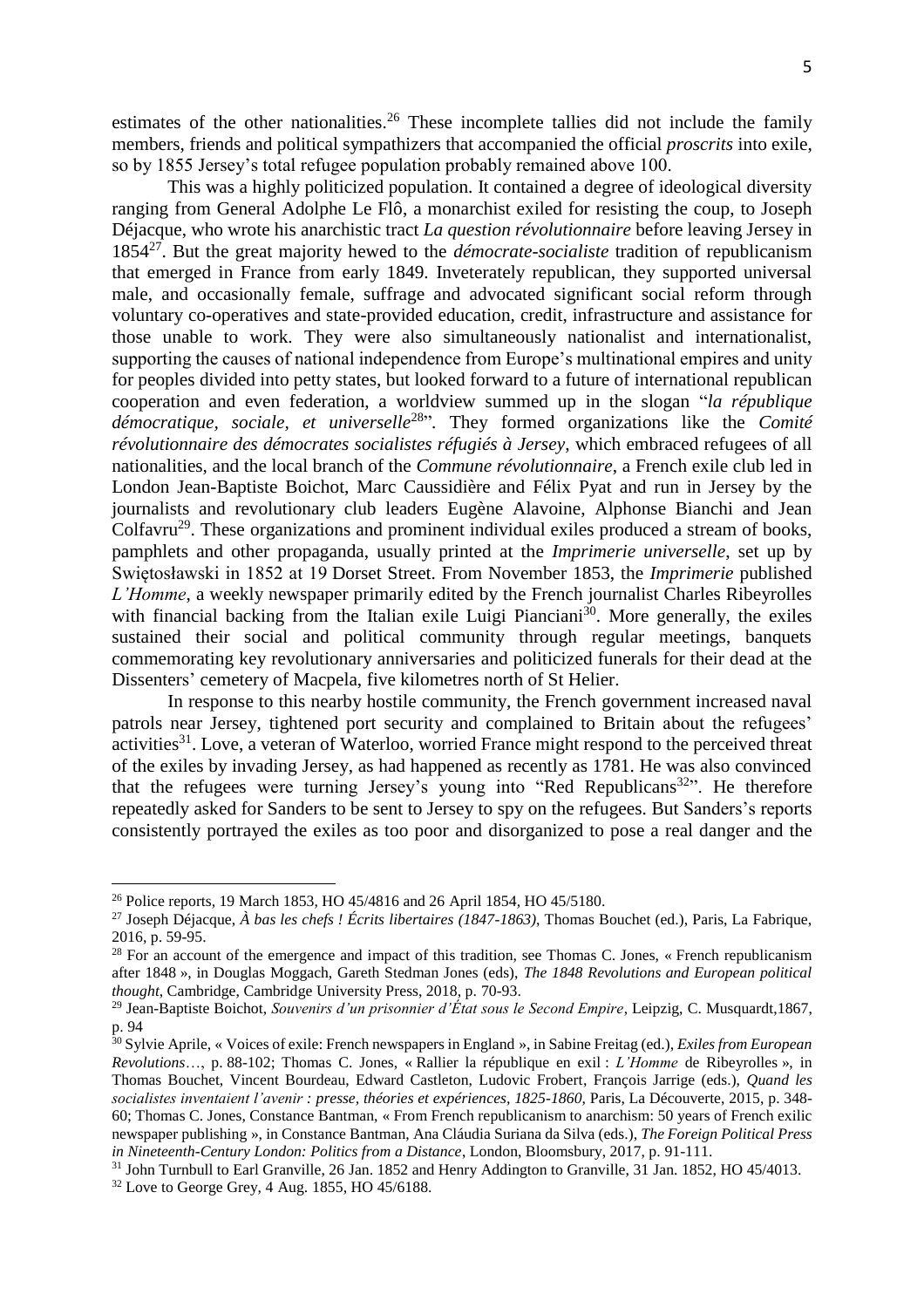estimates of the other nationalities.<sup>26</sup> These incomplete tallies did not include the family members, friends and political sympathizers that accompanied the official *proscrits* into exile, so by 1855 Jersey's total refugee population probably remained above 100.

This was a highly politicized population. It contained a degree of ideological diversity ranging from General Adolphe Le Flô, a monarchist exiled for resisting the coup, to Joseph Déjacque, who wrote his anarchistic tract *La question révolutionnaire* before leaving Jersey in 1854<sup>27</sup> . But the great majority hewed to the *démocrate-socialiste* tradition of republicanism that emerged in France from early 1849. Inveterately republican, they supported universal male, and occasionally female, suffrage and advocated significant social reform through voluntary co-operatives and state-provided education, credit, infrastructure and assistance for those unable to work. They were also simultaneously nationalist and internationalist, supporting the causes of national independence from Europe's multinational empires and unity for peoples divided into petty states, but looked forward to a future of international republican cooperation and even federation, a worldview summed up in the slogan "*la république démocratique, sociale, et universelle*<sup>28</sup> "*.* They formed organizations like the *Comité révolutionnaire des démocrates socialistes réfugiés à Jersey*, which embraced refugees of all nationalities, and the local branch of the *Commune révolutionnaire*, a French exile club led in London Jean-Baptiste Boichot, Marc Caussidière and Félix Pyat and run in Jersey by the journalists and revolutionary club leaders Eugène Alavoine, Alphonse Bianchi and Jean Colfavru<sup>29</sup>. These organizations and prominent individual exiles produced a stream of books, pamphlets and other propaganda, usually printed at the *Imprimerie universelle*, set up by Swiętosławski in 1852 at 19 Dorset Street. From November 1853, the *Imprimerie* published *L'Homme*, a weekly newspaper primarily edited by the French journalist Charles Ribeyrolles with financial backing from the Italian exile Luigi Pianciani<sup>30</sup>. More generally, the exiles sustained their social and political community through regular meetings, banquets commemorating key revolutionary anniversaries and politicized funerals for their dead at the Dissenters' cemetery of Macpela, five kilometres north of St Helier.

In response to this nearby hostile community, the French government increased naval patrols near Jersey, tightened port security and complained to Britain about the refugees' activities<sup>31</sup>. Love, a veteran of Waterloo, worried France might respond to the perceived threat of the exiles by invading Jersey, as had happened as recently as 1781. He was also convinced that the refugees were turning Jersey's young into "Red Republicans<sup>32</sup>". He therefore repeatedly asked for Sanders to be sent to Jersey to spy on the refugees. But Sanders's reports consistently portrayed the exiles as too poor and disorganized to pose a real danger and the

<sup>&</sup>lt;sup>26</sup> Police reports, 19 March 1853, HO 45/4816 and 26 April 1854, HO 45/5180.

<sup>27</sup> Joseph Déjacque, *À bas les chefs ! Écrits libertaires (1847-1863)*, Thomas Bouchet (ed.), Paris, La Fabrique, 2016, p. 59-95.

<sup>&</sup>lt;sup>28</sup> For an account of the emergence and impact of this tradition, see Thomas C. Jones, « French republicanism after 1848 », in Douglas Moggach, Gareth Stedman Jones (eds), *The 1848 Revolutions and European political thought*, Cambridge, Cambridge University Press, 2018, p. 70-93.

<sup>29</sup> Jean-Baptiste Boichot, *Souvenirs d'un prisonnier d'État sous le Second Empire*, Leipzig, C. Musquardt,1867, p. 94

<sup>30</sup> Sylvie Aprile, « Voices of exile: French newspapers in England », in Sabine Freitag (ed.), *Exiles from European Revolutions*…, p. 88-102; Thomas C. Jones, « Rallier la république en exil : *L'Homme* de Ribeyrolles », in Thomas Bouchet, Vincent Bourdeau, Edward Castleton, Ludovic Frobert, François Jarrige (eds.), *Quand les socialistes inventaient l'avenir : presse, théories et expériences, 1825-1860*, Paris, La Découverte, 2015, p. 348- 60; Thomas C. Jones, Constance Bantman, « From French republicanism to anarchism: 50 years of French exilic newspaper publishing », in Constance Bantman, Ana Cláudia Suriana da Silva (eds.), *The Foreign Political Press in Nineteenth-Century London: Politics from a Distance*, London, Bloomsbury, 2017, p. 91-111.

<sup>31</sup> John Turnbull to Earl Granville, 26 Jan. 1852 and Henry Addington to Granville, 31 Jan. 1852, HO 45/4013.

<sup>32</sup> Love to George Grey, 4 Aug. 1855, HO 45/6188.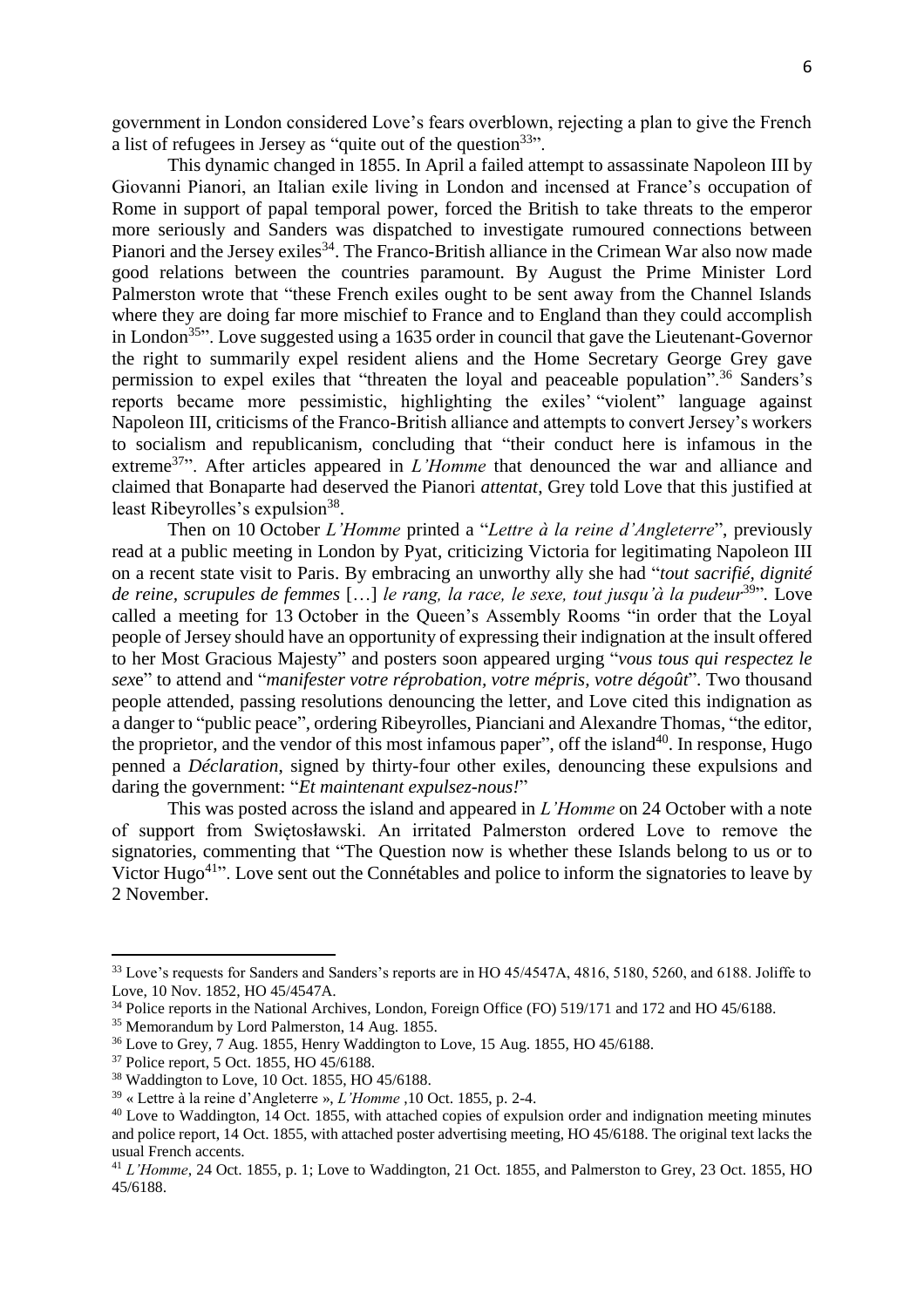government in London considered Love's fears overblown, rejecting a plan to give the French a list of refugees in Jersey as "quite out of the question<sup>33</sup>".

This dynamic changed in 1855. In April a failed attempt to assassinate Napoleon III by Giovanni Pianori, an Italian exile living in London and incensed at France's occupation of Rome in support of papal temporal power, forced the British to take threats to the emperor more seriously and Sanders was dispatched to investigate rumoured connections between Pianori and the Jersey exiles<sup>34</sup>. The Franco-British alliance in the Crimean War also now made good relations between the countries paramount. By August the Prime Minister Lord Palmerston wrote that "these French exiles ought to be sent away from the Channel Islands where they are doing far more mischief to France and to England than they could accomplish in London<sup>35</sup>. Love suggested using a 1635 order in council that gave the Lieutenant-Governor the right to summarily expel resident aliens and the Home Secretary George Grey gave permission to expel exiles that "threaten the loyal and peaceable population".<sup>36</sup> Sanders's reports became more pessimistic, highlighting the exiles' "violent" language against Napoleon III, criticisms of the Franco-British alliance and attempts to convert Jersey's workers to socialism and republicanism, concluding that "their conduct here is infamous in the extreme<sup>37</sup>". After articles appeared in *L'Homme* that denounced the war and alliance and claimed that Bonaparte had deserved the Pianori *attentat*, Grey told Love that this justified at least Ribeyrolles's expulsion<sup>38</sup>.

Then on 10 October *L'Homme* printed a "*Lettre à la reine d'Angleterre*", previously read at a public meeting in London by Pyat, criticizing Victoria for legitimating Napoleon III on a recent state visit to Paris. By embracing an unworthy ally she had "*tout sacrifié, dignité*  de reine, scrupules de femmes [...] le rang, la race, le sexe, tout jusqu'à la pudeur<sup>39</sup>". Love called a meeting for 13 October in the Queen's Assembly Rooms "in order that the Loyal people of Jersey should have an opportunity of expressing their indignation at the insult offered to her Most Gracious Majesty" and posters soon appeared urging "*vous tous qui respectez le sex*e" to attend and "*manifester votre réprobation, votre mépris, votre dégoût*". Two thousand people attended, passing resolutions denouncing the letter, and Love cited this indignation as a danger to "public peace", ordering Ribeyrolles, Pianciani and Alexandre Thomas, "the editor, the proprietor, and the vendor of this most infamous paper", off the island<sup>40</sup>. In response, Hugo penned a *Déclaration*, signed by thirty-four other exiles, denouncing these expulsions and daring the government: "*Et maintenant expulsez-nous!*"

This was posted across the island and appeared in *L'Homme* on 24 October with a note of support from Swiętosławski. An irritated Palmerston ordered Love to remove the signatories, commenting that "The Question now is whether these Islands belong to us or to Victor Hugo<sup>41</sup>. Love sent out the Connétables and police to inform the signatories to leave by 2 November.

<sup>&</sup>lt;sup>33</sup> Love's requests for Sanders and Sanders's reports are in HO 45/4547A, 4816, 5180, 5260, and 6188. Joliffe to Love, 10 Nov. 1852, HO 45/4547A.

<sup>34</sup> Police reports in the National Archives, London, Foreign Office (FO) 519/171 and 172 and HO 45/6188.

<sup>35</sup> Memorandum by Lord Palmerston, 14 Aug. 1855.

<sup>36</sup> Love to Grey, 7 Aug. 1855, Henry Waddington to Love, 15 Aug. 1855, HO 45/6188.

<sup>37</sup> Police report, 5 Oct. 1855, HO 45/6188.

<sup>38</sup> Waddington to Love, 10 Oct. 1855, HO 45/6188.

<sup>39</sup> « Lettre à la reine d'Angleterre », *L'Homme* ,10 Oct. 1855, p. 2-4.

<sup>&</sup>lt;sup>40</sup> Love to Waddington, 14 Oct. 1855, with attached copies of expulsion order and indignation meeting minutes and police report, 14 Oct. 1855, with attached poster advertising meeting, HO 45/6188. The original text lacks the usual French accents.

<sup>41</sup> *L'Homme*, 24 Oct. 1855, p. 1; Love to Waddington, 21 Oct. 1855, and Palmerston to Grey, 23 Oct. 1855, HO 45/6188.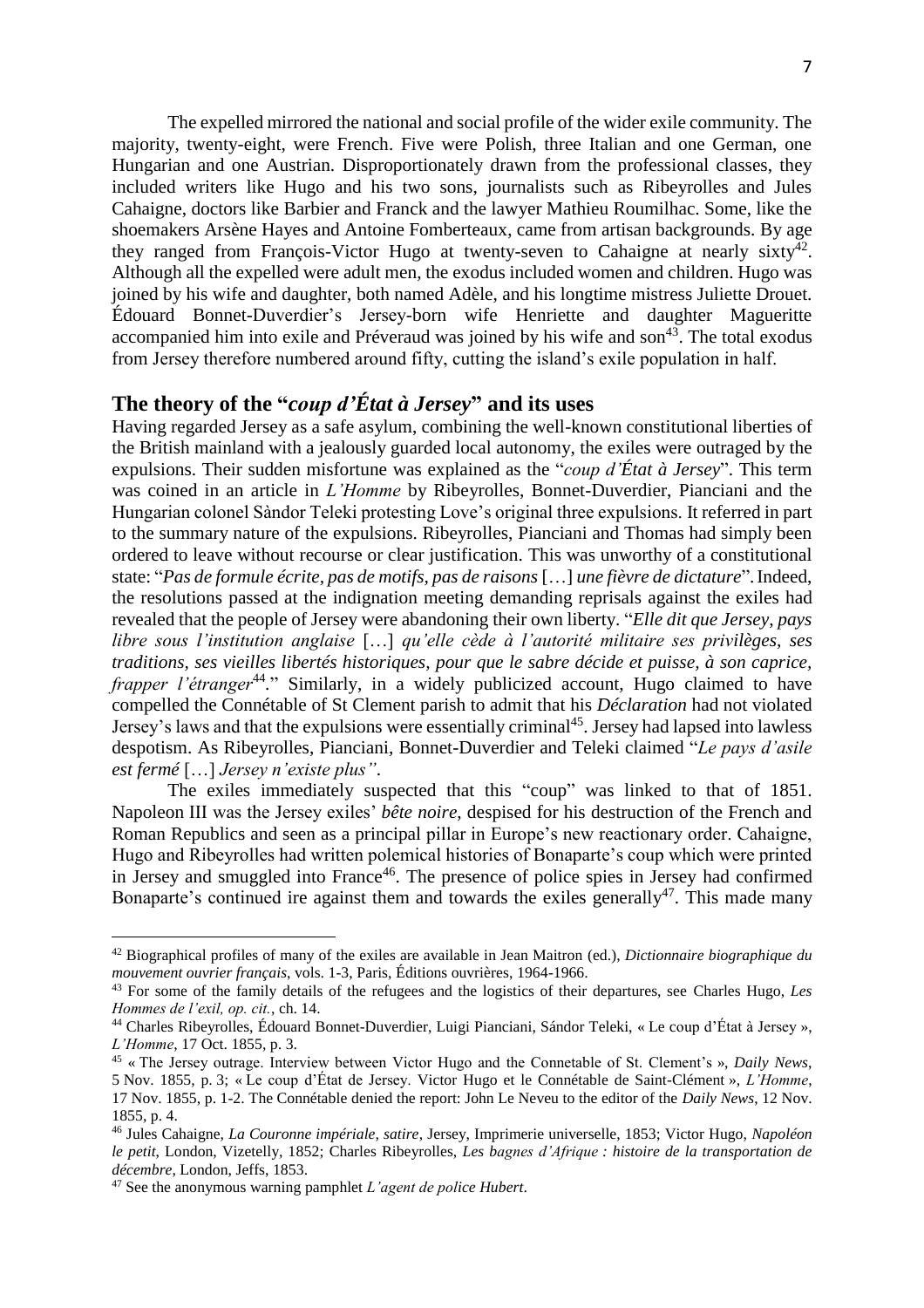The expelled mirrored the national and social profile of the wider exile community. The majority, twenty-eight, were French. Five were Polish, three Italian and one German, one Hungarian and one Austrian. Disproportionately drawn from the professional classes, they included writers like Hugo and his two sons, journalists such as Ribeyrolles and Jules Cahaigne, doctors like Barbier and Franck and the lawyer Mathieu Roumilhac. Some, like the shoemakers Arsène Hayes and Antoine Fomberteaux, came from artisan backgrounds. By age they ranged from François-Victor Hugo at twenty-seven to Cahaigne at nearly sixty<sup>42</sup>. Although all the expelled were adult men, the exodus included women and children. Hugo was joined by his wife and daughter, both named Adèle, and his longtime mistress Juliette Drouet. Édouard Bonnet-Duverdier's Jersey-born wife Henriette and daughter Magueritte accompanied him into exile and Préveraud was joined by his wife and son<sup>43</sup>. The total exodus from Jersey therefore numbered around fifty, cutting the island's exile population in half.

## **The theory of the "***coup d'État à Jersey***" and its uses**

Having regarded Jersey as a safe asylum, combining the well-known constitutional liberties of the British mainland with a jealously guarded local autonomy, the exiles were outraged by the expulsions. Their sudden misfortune was explained as the "*coup d'État à Jersey*". This term was coined in an article in *L'Homme* by Ribeyrolles, Bonnet-Duverdier, Pianciani and the Hungarian colonel Sàndor Teleki protesting Love's original three expulsions. It referred in part to the summary nature of the expulsions. Ribeyrolles, Pianciani and Thomas had simply been ordered to leave without recourse or clear justification. This was unworthy of a constitutional state: "*Pas de formule écrite, pas de motifs, pas de raisons* […] *une fièvre de dictature*".Indeed, the resolutions passed at the indignation meeting demanding reprisals against the exiles had revealed that the people of Jersey were abandoning their own liberty. "*Elle dit que Jersey, pays libre sous l'institution anglaise* […] *qu'elle cède à l'autorité militaire ses privilèges, ses traditions, ses vieilles libertés historiques, pour que le sabre décide et puisse, à son caprice, frapper l'étranger*<sup>44</sup>." Similarly, in a widely publicized account, Hugo claimed to have compelled the Connétable of St Clement parish to admit that his *Déclaration* had not violated Jersey's laws and that the expulsions were essentially criminal<sup>45</sup>. Jersey had lapsed into lawless despotism. As Ribeyrolles, Pianciani, Bonnet-Duverdier and Teleki claimed "*Le pays d'asile est fermé* […] *Jersey n'existe plus"*.

The exiles immediately suspected that this "coup" was linked to that of 1851. Napoleon III was the Jersey exiles' *bête noire*, despised for his destruction of the French and Roman Republics and seen as a principal pillar in Europe's new reactionary order. Cahaigne, Hugo and Ribeyrolles had written polemical histories of Bonaparte's coup which were printed in Jersey and smuggled into France<sup>46</sup>. The presence of police spies in Jersey had confirmed Bonaparte's continued ire against them and towards the exiles generally<sup>47</sup>. This made many

<sup>42</sup> Biographical profiles of many of the exiles are available in Jean Maitron (ed.), *Dictionnaire biographique du mouvement ouvrier français*, vols. 1-3, Paris, Éditions ouvrières, 1964-1966.

<sup>43</sup> For some of the family details of the refugees and the logistics of their departures, see Charles Hugo, *Les Hommes de l'exil, op. cit.*, ch. 14.

<sup>44</sup> Charles Ribeyrolles, Édouard Bonnet-Duverdier, Luigi Pianciani, Sándor Teleki, « Le coup d'État à Jersey », *L'Homme*, 17 Oct. 1855, p. 3.

<sup>45</sup> « The Jersey outrage. Interview between Victor Hugo and the Connetable of St. Clement's », *Daily News*, 5 Nov. 1855, p. 3; « Le coup d'État de Jersey. Victor Hugo et le Connétable de Saint-Clément », *L'Homme*, 17 Nov. 1855, p. 1-2. The Connétable denied the report: John Le Neveu to the editor of the *Daily News*, 12 Nov. 1855, p. 4.

<sup>46</sup> Jules Cahaigne, *La Couronne impériale, satire*, Jersey, Imprimerie universelle, 1853; Victor Hugo, *Napoléon le petit*, London, Vizetelly, 1852; Charles Ribeyrolles, *Les bagnes d'Afrique : histoire de la transportation de décembre*, London, Jeffs, 1853.

<sup>47</sup> See the anonymous warning pamphlet *L'agent de police Hubert*.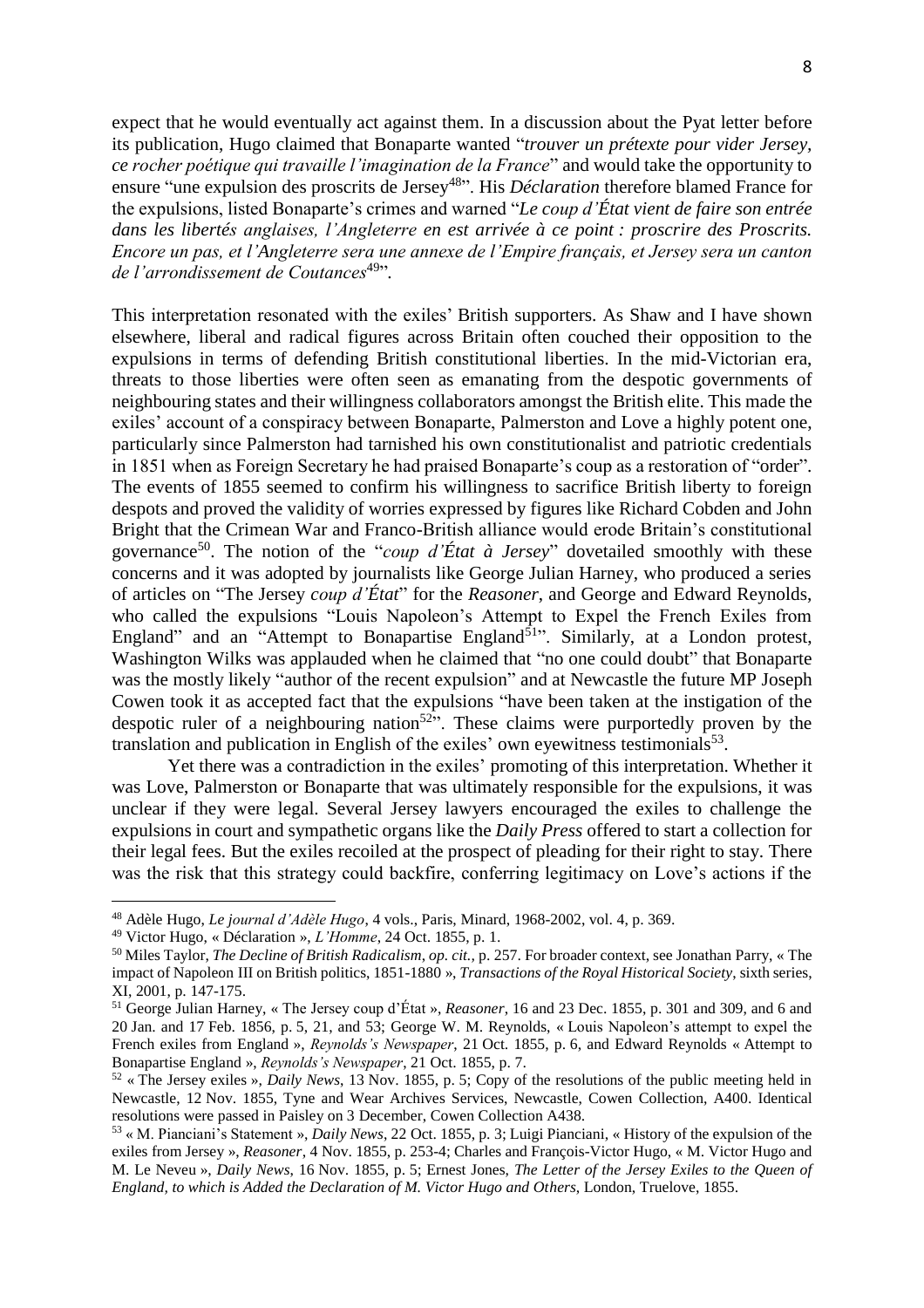expect that he would eventually act against them. In a discussion about the Pyat letter before its publication, Hugo claimed that Bonaparte wanted "*trouver un prétexte pour vider Jersey, ce rocher poétique qui travaille l'imagination de la France*" and would take the opportunity to ensure "une expulsion des proscrits de Jersey<sup>48</sup>". His *Déclaration* therefore blamed France for the expulsions, listed Bonaparte's crimes and warned "*Le coup d'État vient de faire son entrée dans les libertés anglaises, l'Angleterre en est arrivée à ce point : proscrire des Proscrits. Encore un pas, et l'Angleterre sera une annexe de l'Empire français, et Jersey sera un canton*  de l'arrondissement de Coutances<sup>49</sup>".

This interpretation resonated with the exiles' British supporters. As Shaw and I have shown elsewhere, liberal and radical figures across Britain often couched their opposition to the expulsions in terms of defending British constitutional liberties. In the mid-Victorian era, threats to those liberties were often seen as emanating from the despotic governments of neighbouring states and their willingness collaborators amongst the British elite. This made the exiles' account of a conspiracy between Bonaparte, Palmerston and Love a highly potent one, particularly since Palmerston had tarnished his own constitutionalist and patriotic credentials in 1851 when as Foreign Secretary he had praised Bonaparte's coup as a restoration of "order". The events of 1855 seemed to confirm his willingness to sacrifice British liberty to foreign despots and proved the validity of worries expressed by figures like Richard Cobden and John Bright that the Crimean War and Franco-British alliance would erode Britain's constitutional governance<sup>50</sup>. The notion of the "*coup d'État à Jersey*" dovetailed smoothly with these concerns and it was adopted by journalists like George Julian Harney, who produced a series of articles on "The Jersey *coup d'État*" for the *Reasoner*, and George and Edward Reynolds, who called the expulsions "Louis Napoleon's Attempt to Expel the French Exiles from England" and an "Attempt to Bonapartise England<sup>51</sup>". Similarly, at a London protest, Washington Wilks was applauded when he claimed that "no one could doubt" that Bonaparte was the mostly likely "author of the recent expulsion" and at Newcastle the future MP Joseph Cowen took it as accepted fact that the expulsions "have been taken at the instigation of the despotic ruler of a neighbouring nation<sup>52</sup><sup>52</sup>. These claims were purportedly proven by the translation and publication in English of the exiles' own eyewitness testimonials<sup>53</sup>.

Yet there was a contradiction in the exiles' promoting of this interpretation. Whether it was Love, Palmerston or Bonaparte that was ultimately responsible for the expulsions, it was unclear if they were legal. Several Jersey lawyers encouraged the exiles to challenge the expulsions in court and sympathetic organs like the *Daily Press* offered to start a collection for their legal fees. But the exiles recoiled at the prospect of pleading for their right to stay. There was the risk that this strategy could backfire, conferring legitimacy on Love's actions if the

<sup>48</sup> Adèle Hugo, *Le journal d'Adèle Hugo*, 4 vols., Paris, Minard, 1968-2002, vol. 4, p. 369.

<sup>49</sup> Victor Hugo, « Déclaration », *L'Homme*, 24 Oct. 1855, p. 1.

<sup>50</sup> Miles Taylor, *The Decline of British Radicalism*, *op. cit.,* p. 257. For broader context, see Jonathan Parry, « The impact of Napoleon III on British politics, 1851-1880 », *Transactions of the Royal Historical Society*, sixth series, XI, 2001, p. 147-175.

<sup>51</sup> George Julian Harney, « The Jersey coup d'État », *Reasoner*, 16 and 23 Dec. 1855, p. 301 and 309, and 6 and 20 Jan. and 17 Feb. 1856, p. 5, 21, and 53; George W. M. Reynolds, « Louis Napoleon's attempt to expel the French exiles from England », *Reynolds's Newspaper*, 21 Oct. 1855, p. 6, and Edward Reynolds « Attempt to Bonapartise England », *Reynolds's Newspaper*, 21 Oct. 1855, p. 7.

<sup>52</sup> « The Jersey exiles », *Daily News*, 13 Nov. 1855, p. 5; Copy of the resolutions of the public meeting held in Newcastle, 12 Nov. 1855, Tyne and Wear Archives Services, Newcastle, Cowen Collection, A400. Identical resolutions were passed in Paisley on 3 December, Cowen Collection A438.

<sup>53</sup> « M. Pianciani's Statement », *Daily News*, 22 Oct. 1855, p. 3; Luigi Pianciani, « History of the expulsion of the exiles from Jersey », *Reasoner*, 4 Nov. 1855, p. 253-4; Charles and François-Victor Hugo, « M. Victor Hugo and M. Le Neveu », *Daily News*, 16 Nov. 1855, p. 5; Ernest Jones, *The Letter of the Jersey Exiles to the Queen of England, to which is Added the Declaration of M. Victor Hugo and Others*, London, Truelove, 1855.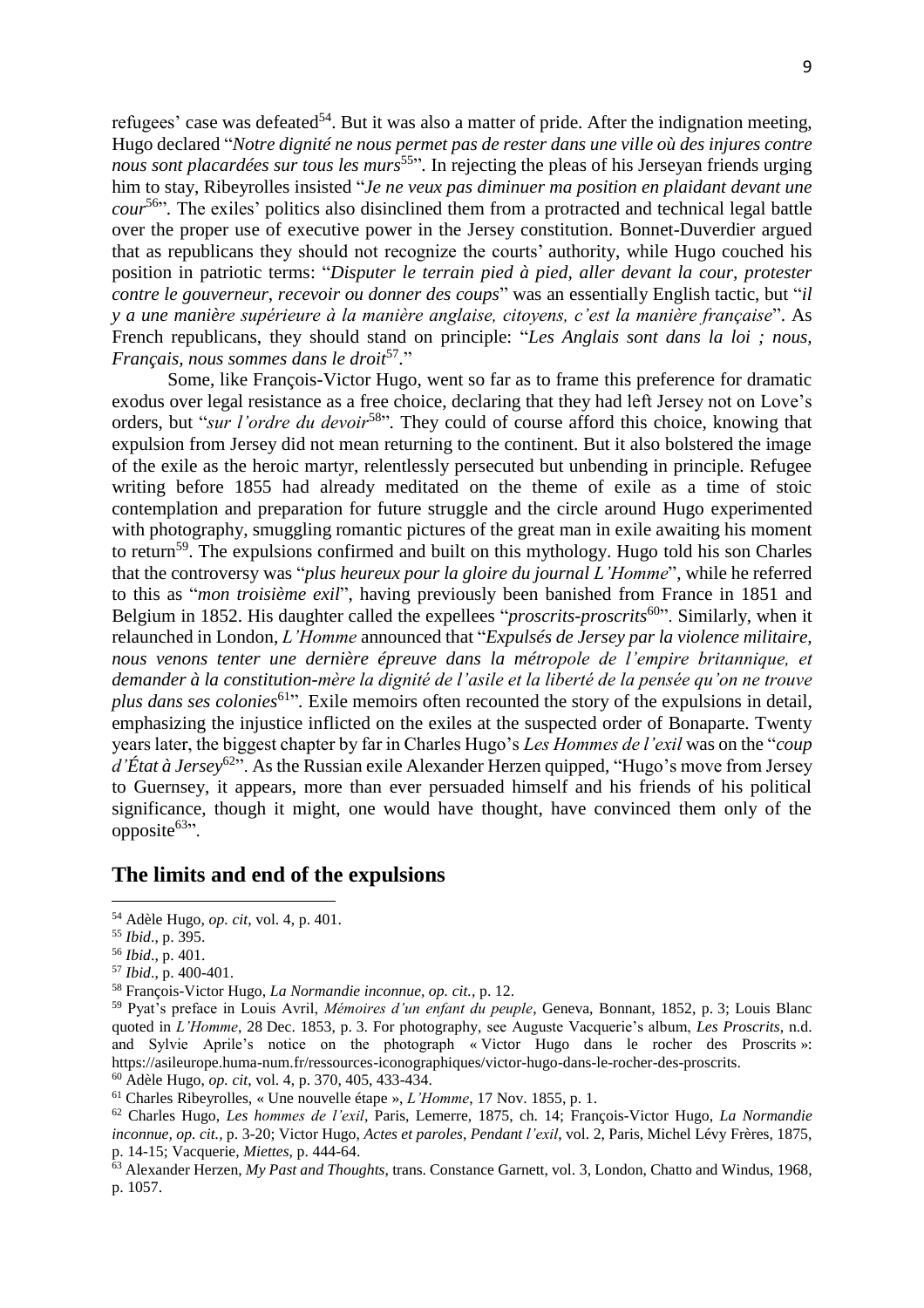refugees' case was defeated<sup>54</sup>. But it was also a matter of pride. After the indignation meeting, Hugo declared "*Notre dignité ne nous permet pas de rester dans une ville où des injures contre nous sont placardées sur tous les murs*<sup>55</sup> "*.* In rejecting the pleas of his Jerseyan friends urging him to stay, Ribeyrolles insisted "*Je ne veux pas diminuer ma position en plaidant devant une cour*<sup>56</sup> "*.* The exiles' politics also disinclined them from a protracted and technical legal battle over the proper use of executive power in the Jersey constitution. Bonnet-Duverdier argued that as republicans they should not recognize the courts' authority, while Hugo couched his position in patriotic terms: "*Disputer le terrain pied à pied, aller devant la cour, protester contre le gouverneur, recevoir ou donner des coups*" was an essentially English tactic, but "*il y a une manière supérieure à la manière anglaise, citoyens, c'est la manière française*". As French republicans, they should stand on principle: "*Les Anglais sont dans la loi ; nous, Français, nous sommes dans le droit*<sup>57</sup> *.*"

Some, like François-Victor Hugo, went so far as to frame this preference for dramatic exodus over legal resistance as a free choice, declaring that they had left Jersey not on Love's orders, but "*sur l'ordre du devoir*<sup>58</sup>". They could of course afford this choice, knowing that expulsion from Jersey did not mean returning to the continent. But it also bolstered the image of the exile as the heroic martyr, relentlessly persecuted but unbending in principle. Refugee writing before 1855 had already meditated on the theme of exile as a time of stoic contemplation and preparation for future struggle and the circle around Hugo experimented with photography, smuggling romantic pictures of the great man in exile awaiting his moment to return<sup>59</sup>. The expulsions confirmed and built on this mythology. Hugo told his son Charles that the controversy was "*plus heureux pour la gloire du journal L'Homme*", while he referred to this as "*mon troisième exil*", having previously been banished from France in 1851 and Belgium in 1852. His daughter called the expellees "*proscrits-proscrits*<sup>60</sup>". Similarly, when it relaunched in London, *L'Homme* announced that "*Expulsés de Jersey par la violence militaire, nous venons tenter une dernière épreuve dans la métropole de l'empire britannique, et demander à la constitution-mère la dignité de l'asile et la liberté de la pensée qu'on ne trouve*  plus dans ses colonies<sup>61</sup><sup>2</sup>. Exile memoirs often recounted the story of the expulsions in detail, emphasizing the injustice inflicted on the exiles at the suspected order of Bonaparte. Twenty years later, the biggest chapter by far in Charles Hugo's *Les Hommes de l'exil* was on the "*coup d'État à Jersey*<sup>62</sup>". As the Russian exile Alexander Herzen quipped, "Hugo's move from Jersey to Guernsey, it appears, more than ever persuaded himself and his friends of his political significance, though it might, one would have thought, have convinced them only of the opposite $63$ ".

#### **The limits and end of the expulsions**

l

<sup>58</sup> François-Victor Hugo, *La Normandie inconnue, op. cit.,* p. 12.

<sup>54</sup> Adèle Hugo, *op. cit*, vol. 4, p. 401.

<sup>55</sup> *Ibid*., p. 395.

<sup>56</sup> *Ibid*., p. 401.

<sup>57</sup> *Ibid*., p. 400-401.

<sup>59</sup> Pyat's preface in Louis Avril, *Mémoires d'un enfant du peuple*, Geneva, Bonnant, 1852, p. 3; Louis Blanc quoted in *L'Homme*, 28 Dec. 1853, p. 3. For photography, see Auguste Vacquerie's album, *Les Proscrits*, n.d. and Sylvie Aprile's notice on the photograph « Victor Hugo dans le rocher des Proscrits »: [https://asileurope.huma-num.fr/ressources-iconographiques/victor-hugo-dans-le-rocher-des-proscrits.](https://asileurope.huma-num.fr/ressources-iconographiques/victor-hugo-dans-le-rocher-des-proscrits) <sup>60</sup> Adèle Hugo, *op. cit*, vol. 4, p. 370, 405, 433-434.

<sup>61</sup> Charles Ribeyrolles, « Une nouvelle étape », *L'Homme*, 17 Nov. 1855, p. 1.

<sup>62</sup> Charles Hugo, *Les hommes de l'exil*, Paris, Lemerre, 1875, ch. 14; François-Victor Hugo, *La Normandie inconnue, op. cit.,* p. 3-20; Victor Hugo, *Actes et paroles*, *Pendant l'exil*, vol. 2, Paris, Michel Lévy Frères, 1875, p. 14-15; Vacquerie, *Miettes*, p. 444-64.

<sup>63</sup> Alexander Herzen, *My Past and Thoughts*, trans. Constance Garnett, vol. 3, London, Chatto and Windus, 1968, p. 1057.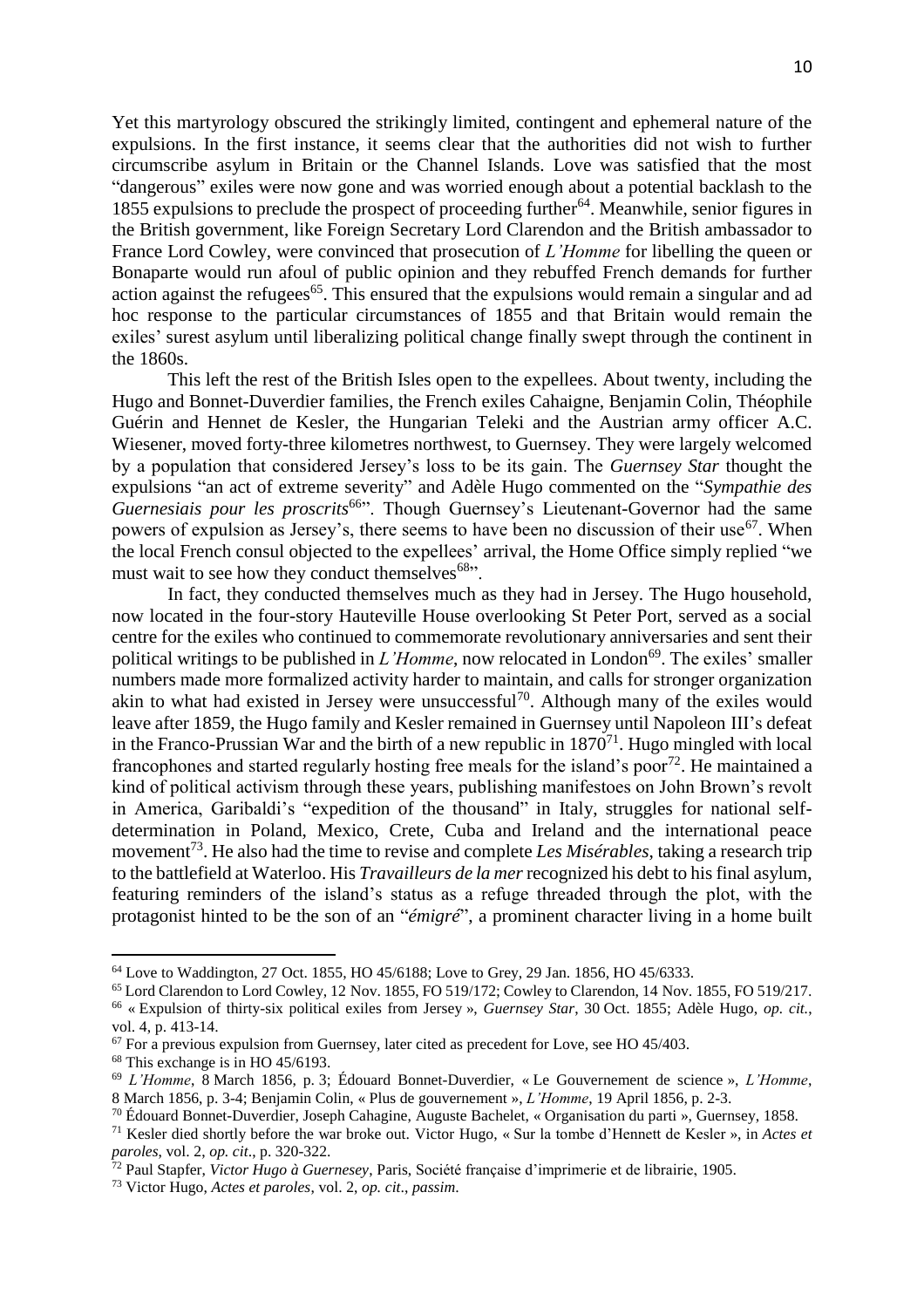Yet this martyrology obscured the strikingly limited, contingent and ephemeral nature of the expulsions. In the first instance, it seems clear that the authorities did not wish to further circumscribe asylum in Britain or the Channel Islands. Love was satisfied that the most "dangerous" exiles were now gone and was worried enough about a potential backlash to the 1855 expulsions to preclude the prospect of proceeding further<sup>64</sup>. Meanwhile, senior figures in the British government, like Foreign Secretary Lord Clarendon and the British ambassador to France Lord Cowley, were convinced that prosecution of *L'Homme* for libelling the queen or Bonaparte would run afoul of public opinion and they rebuffed French demands for further action against the refugees<sup>65</sup>. This ensured that the expulsions would remain a singular and ad hoc response to the particular circumstances of 1855 and that Britain would remain the exiles' surest asylum until liberalizing political change finally swept through the continent in the 1860s.

This left the rest of the British Isles open to the expellees. About twenty, including the Hugo and Bonnet-Duverdier families, the French exiles Cahaigne, Benjamin Colin, Théophile Guérin and Hennet de Kesler, the Hungarian Teleki and the Austrian army officer A.C. Wiesener, moved forty-three kilometres northwest, to Guernsey. They were largely welcomed by a population that considered Jersey's loss to be its gain. The *Guernsey Star* thought the expulsions "an act of extreme severity" and Adèle Hugo commented on the "*Sympathie des Guernesiais pour les proscrits*<sup>66</sup><sup>\*</sup>. Though Guernsey's Lieutenant-Governor had the same powers of expulsion as Jersey's, there seems to have been no discussion of their use<sup>67</sup>. When the local French consul objected to the expellees' arrival, the Home Office simply replied "we must wait to see how they conduct themselves $68$ ".

In fact, they conducted themselves much as they had in Jersey. The Hugo household, now located in the four-story Hauteville House overlooking St Peter Port, served as a social centre for the exiles who continued to commemorate revolutionary anniversaries and sent their political writings to be published in *L'Homme*, now relocated in London<sup>69</sup>. The exiles' smaller numbers made more formalized activity harder to maintain, and calls for stronger organization akin to what had existed in Jersey were unsuccessful<sup>70</sup>. Although many of the exiles would leave after 1859, the Hugo family and Kesler remained in Guernsey until Napoleon III's defeat in the Franco-Prussian War and the birth of a new republic in  $1870<sup>71</sup>$ . Hugo mingled with local francophones and started regularly hosting free meals for the island's poor<sup>72</sup>. He maintained a kind of political activism through these years, publishing manifestoes on John Brown's revolt in America, Garibaldi's "expedition of the thousand" in Italy, struggles for national selfdetermination in Poland, Mexico, Crete, Cuba and Ireland and the international peace movement<sup>73</sup>. He also had the time to revise and complete *Les Misérables*, taking a research trip to the battlefield at Waterloo. His *Travailleurs de la mer* recognized his debt to his final asylum, featuring reminders of the island's status as a refuge threaded through the plot, with the protagonist hinted to be the son of an "*émigré*", a prominent character living in a home built

<sup>&</sup>lt;sup>64</sup> Love to Waddington, 27 Oct. 1855, HO 45/6188; Love to Grey, 29 Jan. 1856, HO 45/6333.

<sup>65</sup> Lord Clarendon to Lord Cowley, 12 Nov. 1855, FO 519/172; Cowley to Clarendon, 14 Nov. 1855, FO 519/217. <sup>66</sup> « Expulsion of thirty-six political exiles from Jersey », *Guernsey Star*, 30 Oct. 1855; Adèle Hugo, *op. cit.*,

vol. 4, p. 413-14.

 $67$  For a previous expulsion from Guernsey, later cited as precedent for Love, see HO 45/403.

<sup>68</sup> This exchange is in HO 45/6193.

<sup>69</sup> *L'Homme*, 8 March 1856, p. 3; Édouard Bonnet-Duverdier, « Le Gouvernement de science », *L'Homme*, 8 March 1856, p. 3-4; Benjamin Colin, « Plus de gouvernement », *L'Homme*, 19 April 1856, p. 2-3.

<sup>70</sup> Édouard Bonnet-Duverdier, Joseph Cahagine, Auguste Bachelet, « Organisation du parti », Guernsey, 1858.

<sup>71</sup> Kesler died shortly before the war broke out. Victor Hugo, « Sur la tombe d'Hennett de Kesler », in *Actes et paroles*, vol. 2, *op. cit*., p. 320-322.

<sup>72</sup> Paul Stapfer, *Victor Hugo à Guernesey*, Paris, Société française d'imprimerie et de librairie, 1905.

<sup>73</sup> Victor Hugo, *Actes et paroles*, vol. 2, *op. cit*., *passim*.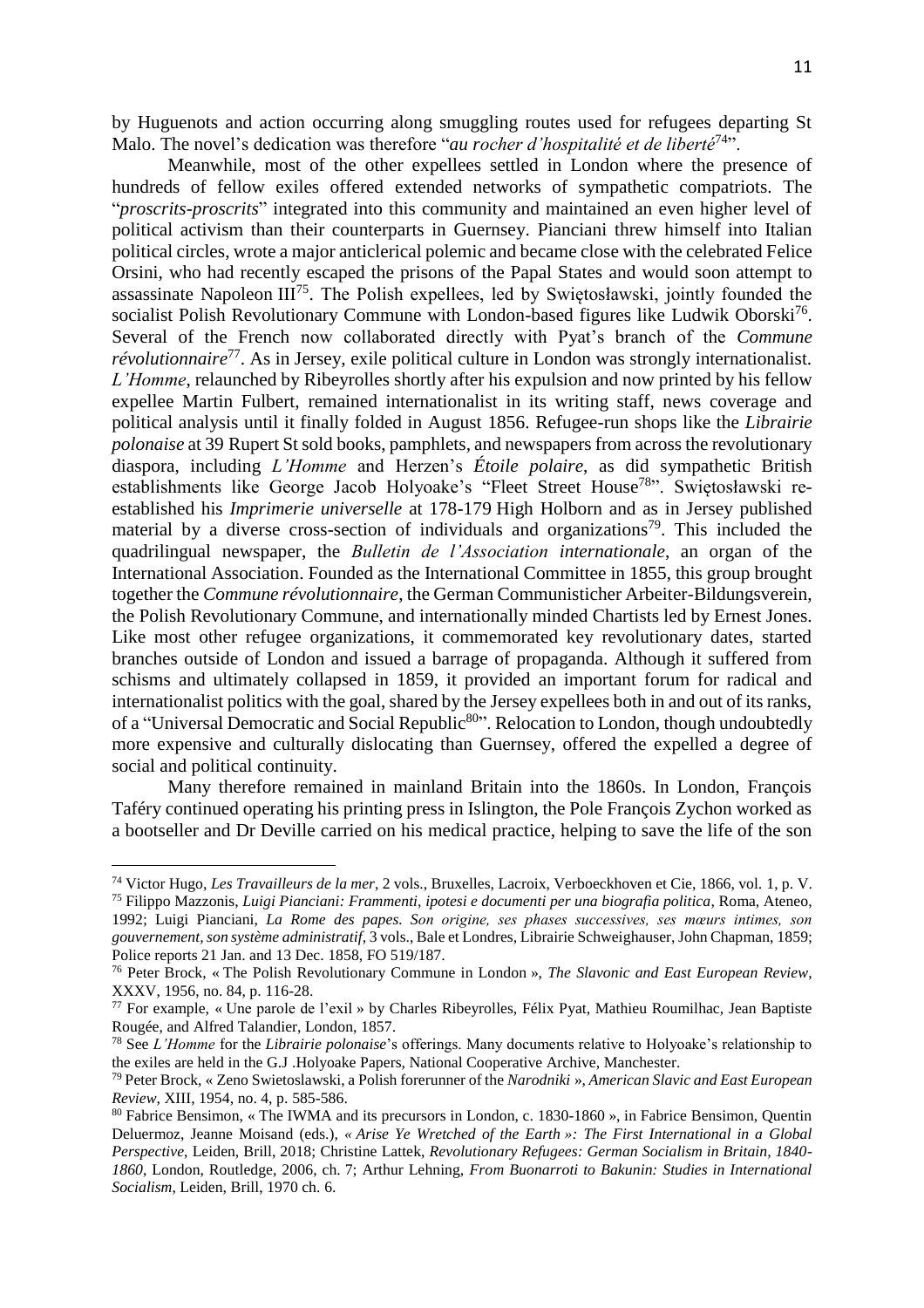by Huguenots and action occurring along smuggling routes used for refugees departing St Malo. The novel's dedication was therefore "*au rocher d'hospitalité et de liberté*<sup>74</sup>".

Meanwhile, most of the other expellees settled in London where the presence of hundreds of fellow exiles offered extended networks of sympathetic compatriots. The "*proscrits-proscrits*" integrated into this community and maintained an even higher level of political activism than their counterparts in Guernsey. Pianciani threw himself into Italian political circles, wrote a major anticlerical polemic and became close with the celebrated Felice Orsini, who had recently escaped the prisons of the Papal States and would soon attempt to assassinate Napoleon III<sup>75</sup>. The Polish expellees, led by Swiętosławski, jointly founded the socialist Polish Revolutionary Commune with London-based figures like Ludwik Oborski<sup>76</sup>. Several of the French now collaborated directly with Pyat's branch of the *Commune*  révolutionnaire<sup>77</sup>. As in Jersey, exile political culture in London was strongly internationalist. *L'Homme*, relaunched by Ribeyrolles shortly after his expulsion and now printed by his fellow expellee Martin Fulbert, remained internationalist in its writing staff, news coverage and political analysis until it finally folded in August 1856. Refugee-run shops like the *Librairie polonaise* at 39 Rupert St sold books, pamphlets, and newspapers from across the revolutionary diaspora, including *L'Homme* and Herzen's *Étoile polaire*, as did sympathetic British establishments like George Jacob Holyoake's "Fleet Street House<sup>78</sup>". Swiętosławski reestablished his *Imprimerie universelle* at 178-179 High Holborn and as in Jersey published material by a diverse cross-section of individuals and organizations<sup>79</sup>. This included the quadrilingual newspaper, the *Bulletin de l'Association internationale*, an organ of the International Association. Founded as the International Committee in 1855, this group brought together the *Commune révolutionnaire*, the German Communisticher Arbeiter-Bildungsverein, the Polish Revolutionary Commune, and internationally minded Chartists led by Ernest Jones. Like most other refugee organizations, it commemorated key revolutionary dates, started branches outside of London and issued a barrage of propaganda. Although it suffered from schisms and ultimately collapsed in 1859, it provided an important forum for radical and internationalist politics with the goal, shared by the Jersey expellees both in and out of its ranks, of a "Universal Democratic and Social Republic<sup>80</sup>". Relocation to London, though undoubtedly more expensive and culturally dislocating than Guernsey, offered the expelled a degree of social and political continuity.

Many therefore remained in mainland Britain into the 1860s. In London, François Taféry continued operating his printing press in Islington, the Pole François Zychon worked as a bootseller and Dr Deville carried on his medical practice, helping to save the life of the son

<sup>74</sup> Victor Hugo, *Les Travailleurs de la mer*, 2 vols., Bruxelles, Lacroix, Verboeckhoven et Cie, 1866, vol. 1, p. V. <sup>75</sup> Filippo Mazzonis, *Luigi Pianciani: Frammenti, ipotesi e documenti per una biografia politica*, Roma, Ateneo, 1992; Luigi Pianciani, *La Rome des papes. Son origine, ses phases successives, ses mœurs intimes, son gouvernement, son système administratif*, 3 vols., Bale et Londres, Librairie Schweighauser, John Chapman, 1859; Police reports 21 Jan. and 13 Dec. 1858, FO 519/187.

<sup>76</sup> Peter Brock, « The Polish Revolutionary Commune in London », *The Slavonic and East European Review*, XXXV, 1956, no. 84, p. 116-28.

<sup>77</sup> For example, « Une parole de l'exil » by Charles Ribeyrolles, Félix Pyat, Mathieu Roumilhac, Jean Baptiste Rougée, and Alfred Talandier, London, 1857.

<sup>78</sup> See *L'Homme* for the *Librairie polonaise*'s offerings. Many documents relative to Holyoake's relationship to the exiles are held in the G.J .Holyoake Papers, National Cooperative Archive, Manchester.

<sup>79</sup> Peter Brock, « Zeno Swietoslawski, a Polish forerunner of the *Narodniki* », *American Slavic and East European Review*, XIII, 1954, no. 4, p. 585-586.

<sup>80</sup> Fabrice Bensimon, « The IWMA and its precursors in London, c. 1830-1860 », in Fabrice Bensimon, Quentin Deluermoz, Jeanne Moisand (eds.), *« Arise Ye Wretched of the Earth »: The First International in a Global Perspective*, Leiden, Brill, 2018; Christine Lattek, *Revolutionary Refugees: German Socialism in Britain, 1840- 1860*, London, Routledge, 2006, ch. 7; Arthur Lehning, *From Buonarroti to Bakunin: Studies in International Socialism*, Leiden, Brill, 1970 ch. 6.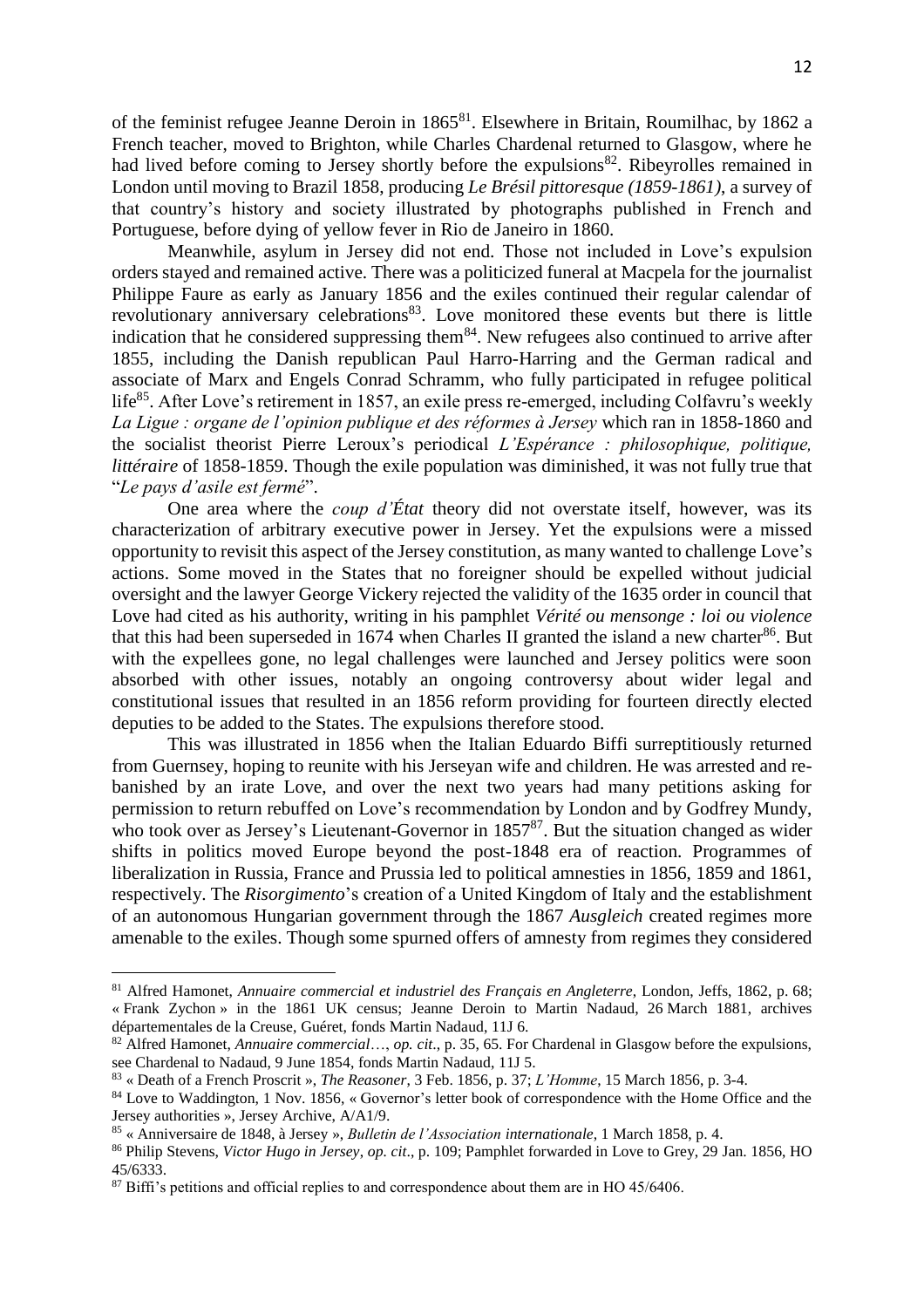of the feminist refugee Jeanne Deroin in 1865<sup>81</sup>. Elsewhere in Britain, Roumilhac, by 1862 a French teacher, moved to Brighton, while Charles Chardenal returned to Glasgow, where he had lived before coming to Jersey shortly before the expulsions<sup>82</sup>. Ribeyrolles remained in London until moving to Brazil 1858, producing *Le Brésil pittoresque (1859-1861)*, a survey of that country's history and society illustrated by photographs published in French and Portuguese, before dying of yellow fever in Rio de Janeiro in 1860.

Meanwhile, asylum in Jersey did not end. Those not included in Love's expulsion orders stayed and remained active. There was a politicized funeral at Macpela for the journalist Philippe Faure as early as January 1856 and the exiles continued their regular calendar of revolutionary anniversary celebrations<sup>83</sup>. Love monitored these events but there is little indication that he considered suppressing them<sup>84</sup>. New refugees also continued to arrive after 1855, including the Danish republican Paul Harro-Harring and the German radical and associate of Marx and Engels Conrad Schramm, who fully participated in refugee political life<sup>85</sup>. After Love's retirement in 1857, an exile press re-emerged, including Colfavru's weekly *La Ligue : organe de l'opinion publique et des réformes à Jersey* which ran in 1858-1860 and the socialist theorist Pierre Leroux's periodical *L'Espérance : philosophique, politique, littéraire* of 1858-1859. Though the exile population was diminished, it was not fully true that "*Le pays d'asile est fermé*".

One area where the *coup d'État* theory did not overstate itself, however, was its characterization of arbitrary executive power in Jersey. Yet the expulsions were a missed opportunity to revisit this aspect of the Jersey constitution, as many wanted to challenge Love's actions. Some moved in the States that no foreigner should be expelled without judicial oversight and the lawyer George Vickery rejected the validity of the 1635 order in council that Love had cited as his authority, writing in his pamphlet *Vérité ou mensonge : loi ou violence* that this had been superseded in 1674 when Charles II granted the island a new charter<sup>86</sup>. But with the expellees gone, no legal challenges were launched and Jersey politics were soon absorbed with other issues, notably an ongoing controversy about wider legal and constitutional issues that resulted in an 1856 reform providing for fourteen directly elected deputies to be added to the States. The expulsions therefore stood.

This was illustrated in 1856 when the Italian Eduardo Biffi surreptitiously returned from Guernsey, hoping to reunite with his Jerseyan wife and children. He was arrested and rebanished by an irate Love, and over the next two years had many petitions asking for permission to return rebuffed on Love's recommendation by London and by Godfrey Mundy, who took over as Jersey's Lieutenant-Governor in 1857<sup>87</sup>. But the situation changed as wider shifts in politics moved Europe beyond the post-1848 era of reaction. Programmes of liberalization in Russia, France and Prussia led to political amnesties in 1856, 1859 and 1861, respectively. The *Risorgimento*'s creation of a United Kingdom of Italy and the establishment of an autonomous Hungarian government through the 1867 *Ausgleich* created regimes more amenable to the exiles. Though some spurned offers of amnesty from regimes they considered

<sup>81</sup> Alfred Hamonet, *Annuaire commercial et industriel des Français en Angleterre*, London, Jeffs, 1862, p. 68; « Frank Zychon » in the 1861 UK census; Jeanne Deroin to Martin Nadaud, 26 March 1881, archives départementales de la Creuse, Guéret, fonds Martin Nadaud, 11J 6.

<sup>82</sup> Alfred Hamonet, *Annuaire commercial*…, *op. cit*., p. 35, 65. For Chardenal in Glasgow before the expulsions, see Chardenal to Nadaud, 9 June 1854, fonds Martin Nadaud, 11J 5.

<sup>83</sup> « Death of a French Proscrit », *The Reasoner*, 3 Feb. 1856, p. 37; *L'Homme*, 15 March 1856, p. 3-4.

<sup>&</sup>lt;sup>84</sup> Love to Waddington, 1 Nov. 1856, «Governor's letter book of correspondence with the Home Office and the Jersey authorities », Jersey Archive, A/A1/9.

<sup>85</sup> « Anniversaire de 1848, à Jersey », *Bulletin de l'Association internationale*, 1 March 1858, p. 4.

<sup>86</sup> Philip Stevens, *Victor Hugo in Jersey*, *op. cit*., p. 109; Pamphlet forwarded in Love to Grey, 29 Jan. 1856, HO 45/6333.

<sup>&</sup>lt;sup>87</sup> Biffi's petitions and official replies to and correspondence about them are in HO 45/6406.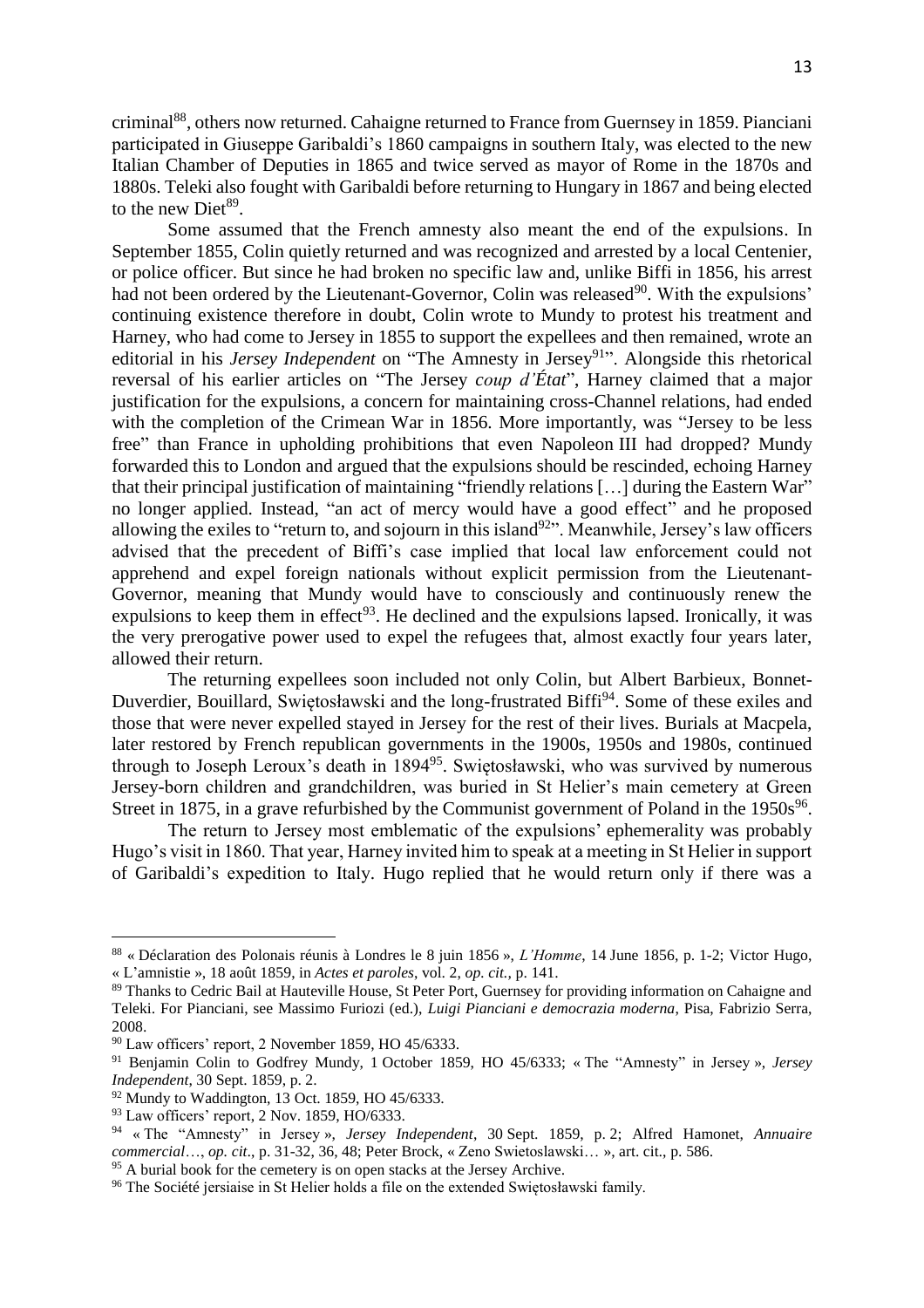criminal<sup>88</sup>, others now returned. Cahaigne returned to France from Guernsey in 1859. Pianciani participated in Giuseppe Garibaldi's 1860 campaigns in southern Italy, was elected to the new Italian Chamber of Deputies in 1865 and twice served as mayor of Rome in the 1870s and 1880s. Teleki also fought with Garibaldi before returning to Hungary in 1867 and being elected to the new  $\text{Dict}^{89}$ .

Some assumed that the French amnesty also meant the end of the expulsions. In September 1855, Colin quietly returned and was recognized and arrested by a local Centenier, or police officer. But since he had broken no specific law and, unlike Biffi in 1856, his arrest had not been ordered by the Lieutenant-Governor, Colin was released<sup>90</sup>. With the expulsions' continuing existence therefore in doubt, Colin wrote to Mundy to protest his treatment and Harney, who had come to Jersey in 1855 to support the expellees and then remained, wrote an editorial in his *Jersey Independent* on "The Amnesty in Jersey<sup>91</sup>". Alongside this rhetorical reversal of his earlier articles on "The Jersey *coup d'État*", Harney claimed that a major justification for the expulsions, a concern for maintaining cross-Channel relations, had ended with the completion of the Crimean War in 1856. More importantly, was "Jersey to be less free" than France in upholding prohibitions that even Napoleon III had dropped? Mundy forwarded this to London and argued that the expulsions should be rescinded, echoing Harney that their principal justification of maintaining "friendly relations [...] during the Eastern War" no longer applied. Instead, "an act of mercy would have a good effect" and he proposed allowing the exiles to "return to, and sojourn in this island<sup>92</sup>". Meanwhile, Jersey's law officers advised that the precedent of Biffi's case implied that local law enforcement could not apprehend and expel foreign nationals without explicit permission from the Lieutenant-Governor, meaning that Mundy would have to consciously and continuously renew the expulsions to keep them in effect<sup>93</sup>. He declined and the expulsions lapsed. Ironically, it was the very prerogative power used to expel the refugees that, almost exactly four years later, allowed their return.

The returning expellees soon included not only Colin, but Albert Barbieux, Bonnet-Duverdier, Bouillard, Swiętosławski and the long-frustrated Biffi<sup>94</sup>. Some of these exiles and those that were never expelled stayed in Jersey for the rest of their lives. Burials at Macpela, later restored by French republican governments in the 1900s, 1950s and 1980s, continued through to Joseph Leroux's death in 1894<sup>95</sup>. Swiętosławski, who was survived by numerous Jersey-born children and grandchildren, was buried in St Helier's main cemetery at Green Street in 1875, in a grave refurbished by the Communist government of Poland in the  $1950s^{96}$ .

The return to Jersey most emblematic of the expulsions' ephemerality was probably Hugo's visit in 1860. That year, Harney invited him to speak at a meeting in St Helier in support of Garibaldi's expedition to Italy. Hugo replied that he would return only if there was a

<sup>88</sup> « Déclaration des Polonais réunis à Londres le 8 juin 1856 », *L'Homme*, 14 June 1856, p. 1-2; Victor Hugo, « L'amnistie », 18 août 1859, in *Actes et paroles*, vol. 2, *op. cit.,* p. 141.

<sup>89</sup> Thanks to Cedric Bail at Hauteville House, St Peter Port, Guernsey for providing information on Cahaigne and Teleki. For Pianciani, see Massimo Furiozi (ed.), *Luigi Pianciani e democrazia moderna*, Pisa, Fabrizio Serra, 2008.

<sup>90</sup> Law officers' report, 2 November 1859, HO 45/6333.

<sup>91</sup> Benjamin Colin to Godfrey Mundy, 1 October 1859, HO 45/6333; « The "Amnesty" in Jersey », *Jersey Independent*, 30 Sept. 1859, p. 2.

<sup>&</sup>lt;sup>92</sup> Mundy to Waddington, 13 Oct. 1859, HO 45/6333.

<sup>&</sup>lt;sup>93</sup> Law officers' report, 2 Nov. 1859, HO/6333.

<sup>94</sup> « The "Amnesty" in Jersey », *Jersey Independent*, 30 Sept. 1859, p. 2; Alfred Hamonet, *Annuaire commercial*…, *op. cit*., p. 31-32, 36, 48; Peter Brock, « Zeno Swietoslawski… », art. cit., p. 586.

<sup>&</sup>lt;sup>95</sup> A burial book for the cemetery is on open stacks at the Jersey Archive.

<sup>&</sup>lt;sup>96</sup> The Société jersiaise in St Helier holds a file on the extended Swiętosławski family.